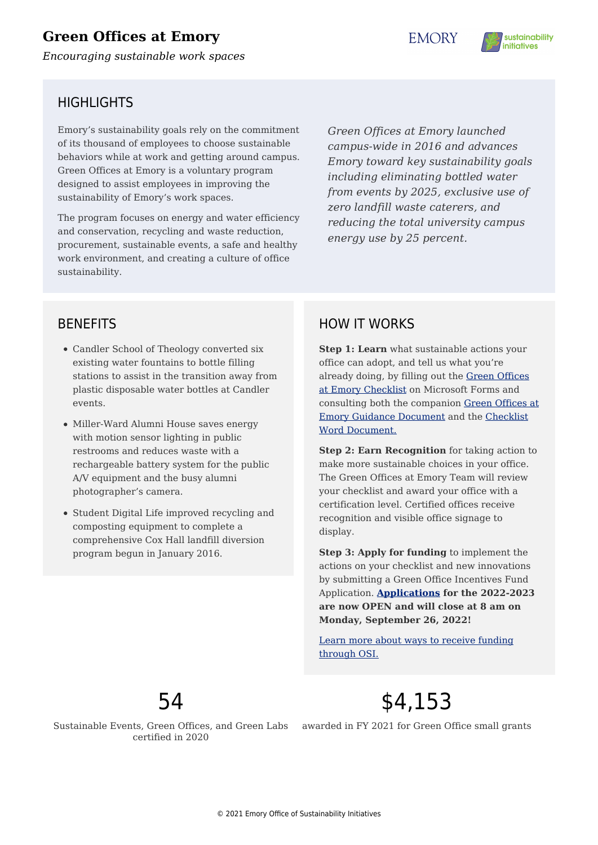# **Green Offices at Emory**

*Encouraging sustainable work spaces*

**EMORY** 



# HIGHLIGHTS

Emory's sustainability goals rely on the commitment of its thousand of employees to choose sustainable behaviors while at work and getting around campus. Green Offices at Emory is a voluntary program designed to assist employees in improving the sustainability of Emory's work spaces.

The program focuses on energy and water efficiency and conservation, recycling and waste reduction, procurement, sustainable events, a safe and healthy work environment, and creating a culture of office sustainability.

*Green Offices at Emory launched campus-wide in 2016 and advances Emory toward key sustainability goals including eliminating bottled water from events by 2025, exclusive use of zero landfill waste caterers, and reducing the total university campus energy use by 25 percent.*

# **BENEFITS**

- Candler School of Theology converted six existing water fountains to bottle filling stations to assist in the transition away from plastic disposable water bottles at Candler events.
- Miller-Ward Alumni House saves energy with motion sensor lighting in public restrooms and reduces waste with a rechargeable battery system for the public A/V equipment and the busy alumni photographer's camera.
- Student Digital Life improved recycling and composting equipment to complete a comprehensive Cox Hall landfill diversion program begun in January 2016.

# HOW IT WORKS

**Step 1: Learn** what sustainable actions your office can adopt, and tell us what you're already doing, by filling out the [Green Offices](https://forms.office.com/Pages/ResponsePage.aspx?id=nPsE4KSwT0K80DImBtXfOE4NPFjLILZKoZWFVJKgWHBUQlIyS0xYRzUwMDdYS1VFWkhSVTNXNUtMTi4u) [at Emory Checklist](https://forms.office.com/Pages/ResponsePage.aspx?id=nPsE4KSwT0K80DImBtXfOE4NPFjLILZKoZWFVJKgWHBUQlIyS0xYRzUwMDdYS1VFWkhSVTNXNUtMTi4u) on Microsoft Forms and consulting both the companion [Green Offices at](http://sustainability.emory.edu/wp-content/uploads/2022/07/Green-Office-2022-2023-Guidance.pdf) [Emory Guidance Document](http://sustainability.emory.edu/wp-content/uploads/2022/07/Green-Office-2022-2023-Guidance.pdf) and the [Checklist](https://sustainability.emory.edu/wp-content/uploads/2018/04/Green-Offices-Checklist-2022-2023.docx) [Word Document.](https://sustainability.emory.edu/wp-content/uploads/2018/04/Green-Offices-Checklist-2022-2023.docx)

**Step 2: Earn Recognition** for taking action to make more sustainable choices in your office. The Green Offices at Emory Team will review your checklist and award your office with a certification level. Certified offices receive recognition and visible office signage to display.

**Step 3: Apply for funding** to implement the actions on your checklist and new innovations by submitting a Green Office Incentives Fund Application. **[Applications](https://sustainability.emory.edu/resources/2022-2023-osi-combined-incentives-funds-application/) for the 2022-2023 are now OPEN and will close at 8 am on Monday, September 26, 2022!**

[Learn more about ways to receive funding](https://sustainability.emory.edu/get-involved/funding-opportunities/) [through OSI.](https://sustainability.emory.edu/get-involved/funding-opportunities/)



Sustainable Events, Green Offices, and Green Labs certified in 2020

\$4,153

awarded in FY 2021 for Green Office small grants